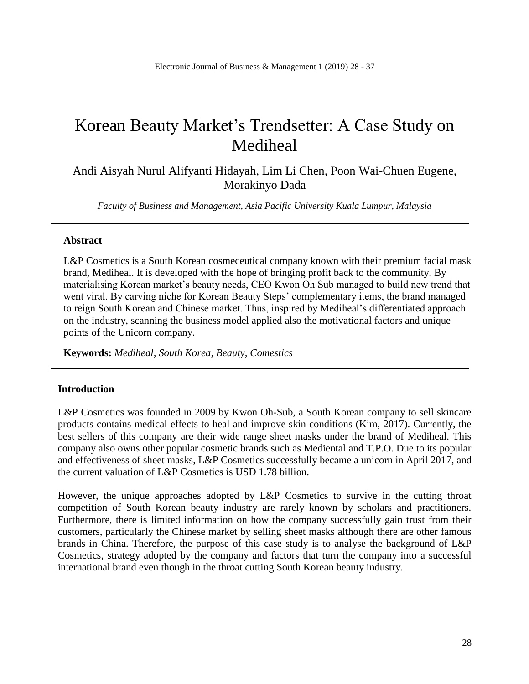# Korean Beauty Market's Trendsetter: A Case Study on Mediheal

Andi Aisyah Nurul Alifyanti Hidayah, Lim Li Chen, Poon Wai-Chuen Eugene, Morakinyo Dada

*Faculty of Business and Management, Asia Pacific University Kuala Lumpur, Malaysia*

## **Abstract**

L&P Cosmetics is a South Korean cosmeceutical company known with their premium facial mask brand, Mediheal. It is developed with the hope of bringing profit back to the community. By materialising Korean market's beauty needs, CEO Kwon Oh Sub managed to build new trend that went viral. By carving niche for Korean Beauty Steps' complementary items, the brand managed to reign South Korean and Chinese market. Thus, inspired by Mediheal's differentiated approach on the industry, scanning the business model applied also the motivational factors and unique points of the Unicorn company.

**Keywords:** *Mediheal, South Korea, Beauty, Comestics*

## **Introduction**

L&P Cosmetics was founded in 2009 by Kwon Oh-Sub, a South Korean company to sell skincare products contains medical effects to heal and improve skin conditions (Kim, 2017). Currently, the best sellers of this company are their wide range sheet masks under the brand of Mediheal. This company also owns other popular cosmetic brands such as Mediental and T.P.O. Due to its popular and effectiveness of sheet masks, L&P Cosmetics successfully became a unicorn in April 2017, and the current valuation of L&P Cosmetics is USD 1.78 billion.

However, the unique approaches adopted by L&P Cosmetics to survive in the cutting throat competition of South Korean beauty industry are rarely known by scholars and practitioners. Furthermore, there is limited information on how the company successfully gain trust from their customers, particularly the Chinese market by selling sheet masks although there are other famous brands in China. Therefore, the purpose of this case study is to analyse the background of L&P Cosmetics, strategy adopted by the company and factors that turn the company into a successful international brand even though in the throat cutting South Korean beauty industry.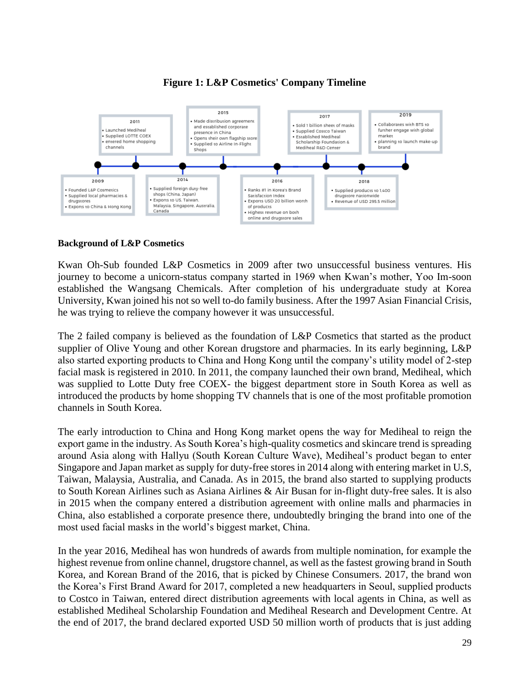# **Figure 1: L&P Cosmetics' Company Timeline**



#### **Background of L&P Cosmetics**

Kwan Oh-Sub founded L&P Cosmetics in 2009 after two unsuccessful business ventures. His journey to become a unicorn-status company started in 1969 when Kwan's mother, Yoo Im-soon established the Wangsang Chemicals. After completion of his undergraduate study at Korea University, Kwan joined his not so well to-do family business. After the 1997 Asian Financial Crisis, he was trying to relieve the company however it was unsuccessful.

The 2 failed company is believed as the foundation of L&P Cosmetics that started as the product supplier of Olive Young and other Korean drugstore and pharmacies. In its early beginning, L&P also started exporting products to China and Hong Kong until the company's utility model of 2-step facial mask is registered in 2010. In 2011, the company launched their own brand, Mediheal, which was supplied to Lotte Duty free COEX- the biggest department store in South Korea as well as introduced the products by home shopping TV channels that is one of the most profitable promotion channels in South Korea.

The early introduction to China and Hong Kong market opens the way for Mediheal to reign the export game in the industry. As South Korea's high-quality cosmetics and skincare trend is spreading around Asia along with Hallyu (South Korean Culture Wave), Mediheal's product began to enter Singapore and Japan market as supply for duty-free stores in 2014 along with entering market in U.S, Taiwan, Malaysia, Australia, and Canada. As in 2015, the brand also started to supplying products to South Korean Airlines such as Asiana Airlines & Air Busan for in-flight duty-free sales. It is also in 2015 when the company entered a distribution agreement with online malls and pharmacies in China, also established a corporate presence there, undoubtedly bringing the brand into one of the most used facial masks in the world's biggest market, China.

In the year 2016, Mediheal has won hundreds of awards from multiple nomination, for example the highest revenue from online channel, drugstore channel, as well as the fastest growing brand in South Korea, and Korean Brand of the 2016, that is picked by Chinese Consumers. 2017, the brand won the Korea's First Brand Award for 2017, completed a new headquarters in Seoul, supplied products to Costco in Taiwan, entered direct distribution agreements with local agents in China, as well as established Mediheal Scholarship Foundation and Mediheal Research and Development Centre. At the end of 2017, the brand declared exported USD 50 million worth of products that is just adding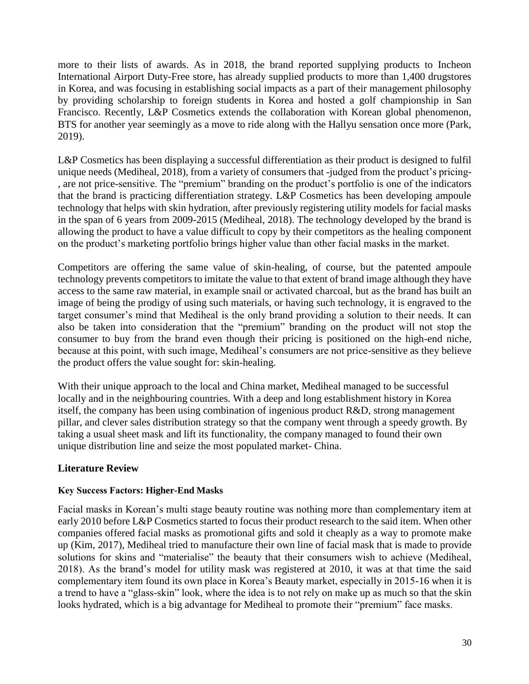more to their lists of awards. As in 2018, the brand reported supplying products to Incheon International Airport Duty-Free store, has already supplied products to more than 1,400 drugstores in Korea, and was focusing in establishing social impacts as a part of their management philosophy by providing scholarship to foreign students in Korea and hosted a golf championship in San Francisco. Recently, L&P Cosmetics extends the collaboration with Korean global phenomenon, BTS for another year seemingly as a move to ride along with the Hallyu sensation once more (Park, 2019).

L&P Cosmetics has been displaying a successful differentiation as their product is designed to fulfil unique needs (Mediheal, 2018), from a variety of consumers that -judged from the product's pricing- , are not price-sensitive. The "premium" branding on the product's portfolio is one of the indicators that the brand is practicing differentiation strategy. L&P Cosmetics has been developing ampoule technology that helps with skin hydration, after previously registering utility models for facial masks in the span of 6 years from 2009-2015 (Mediheal, 2018). The technology developed by the brand is allowing the product to have a value difficult to copy by their competitors as the healing component on the product's marketing portfolio brings higher value than other facial masks in the market.

Competitors are offering the same value of skin-healing, of course, but the patented ampoule technology prevents competitors to imitate the value to that extent of brand image although they have access to the same raw material, in example snail or activated charcoal, but as the brand has built an image of being the prodigy of using such materials, or having such technology, it is engraved to the target consumer's mind that Mediheal is the only brand providing a solution to their needs. It can also be taken into consideration that the "premium" branding on the product will not stop the consumer to buy from the brand even though their pricing is positioned on the high-end niche, because at this point, with such image, Mediheal's consumers are not price-sensitive as they believe the product offers the value sought for: skin-healing.

With their unique approach to the local and China market, Mediheal managed to be successful locally and in the neighbouring countries. With a deep and long establishment history in Korea itself, the company has been using combination of ingenious product R&D, strong management pillar, and clever sales distribution strategy so that the company went through a speedy growth. By taking a usual sheet mask and lift its functionality, the company managed to found their own unique distribution line and seize the most populated market- China.

# **Literature Review**

## **Key Success Factors: Higher-End Masks**

Facial masks in Korean's multi stage beauty routine was nothing more than complementary item at early 2010 before L&P Cosmetics started to focus their product research to the said item. When other companies offered facial masks as promotional gifts and sold it cheaply as a way to promote make up (Kim, 2017), Mediheal tried to manufacture their own line of facial mask that is made to provide solutions for skins and "materialise" the beauty that their consumers wish to achieve (Mediheal, 2018). As the brand's model for utility mask was registered at 2010, it was at that time the said complementary item found its own place in Korea's Beauty market, especially in 2015-16 when it is a trend to have a "glass-skin" look, where the idea is to not rely on make up as much so that the skin looks hydrated, which is a big advantage for Mediheal to promote their "premium" face masks.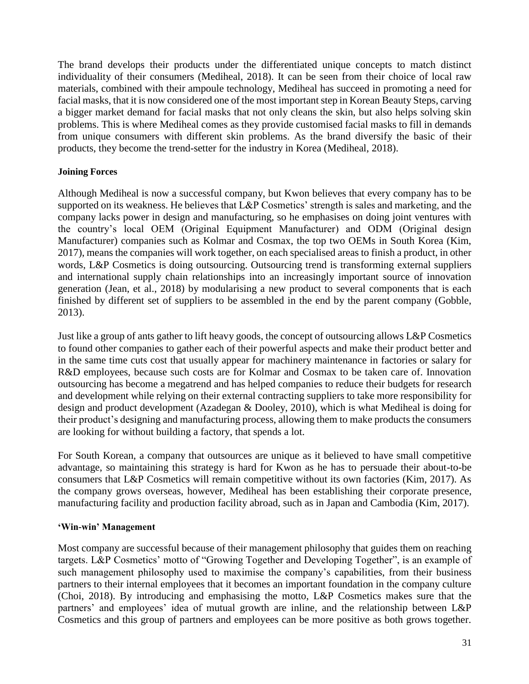The brand develops their products under the differentiated unique concepts to match distinct individuality of their consumers (Mediheal, 2018). It can be seen from their choice of local raw materials, combined with their ampoule technology, Mediheal has succeed in promoting a need for facial masks, that it is now considered one of the most important step in Korean Beauty Steps, carving a bigger market demand for facial masks that not only cleans the skin, but also helps solving skin problems. This is where Mediheal comes as they provide customised facial masks to fill in demands from unique consumers with different skin problems. As the brand diversify the basic of their products, they become the trend-setter for the industry in Korea (Mediheal, 2018).

## **Joining Forces**

Although Mediheal is now a successful company, but Kwon believes that every company has to be supported on its weakness. He believes that L&P Cosmetics' strength is sales and marketing, and the company lacks power in design and manufacturing, so he emphasises on doing joint ventures with the country's local OEM (Original Equipment Manufacturer) and ODM (Original design Manufacturer) companies such as Kolmar and Cosmax, the top two OEMs in South Korea (Kim, 2017), means the companies will work together, on each specialised areas to finish a product, in other words, L&P Cosmetics is doing outsourcing. Outsourcing trend is transforming external suppliers and international supply chain relationships into an increasingly important source of innovation generation (Jean, et al., 2018) by modularising a new product to several components that is each finished by different set of suppliers to be assembled in the end by the parent company (Gobble, 2013).

Just like a group of ants gather to lift heavy goods, the concept of outsourcing allows L&P Cosmetics to found other companies to gather each of their powerful aspects and make their product better and in the same time cuts cost that usually appear for machinery maintenance in factories or salary for R&D employees, because such costs are for Kolmar and Cosmax to be taken care of. Innovation outsourcing has become a megatrend and has helped companies to reduce their budgets for research and development while relying on their external contracting suppliers to take more responsibility for design and product development (Azadegan & Dooley, 2010), which is what Mediheal is doing for their product's designing and manufacturing process, allowing them to make products the consumers are looking for without building a factory, that spends a lot.

For South Korean, a company that outsources are unique as it believed to have small competitive advantage, so maintaining this strategy is hard for Kwon as he has to persuade their about-to-be consumers that L&P Cosmetics will remain competitive without its own factories (Kim, 2017). As the company grows overseas, however, Mediheal has been establishing their corporate presence, manufacturing facility and production facility abroad, such as in Japan and Cambodia (Kim, 2017).

## **'Win-win' Management**

Most company are successful because of their management philosophy that guides them on reaching targets. L&P Cosmetics' motto of "Growing Together and Developing Together", is an example of such management philosophy used to maximise the company's capabilities, from their business partners to their internal employees that it becomes an important foundation in the company culture (Choi, 2018). By introducing and emphasising the motto, L&P Cosmetics makes sure that the partners' and employees' idea of mutual growth are inline, and the relationship between L&P Cosmetics and this group of partners and employees can be more positive as both grows together.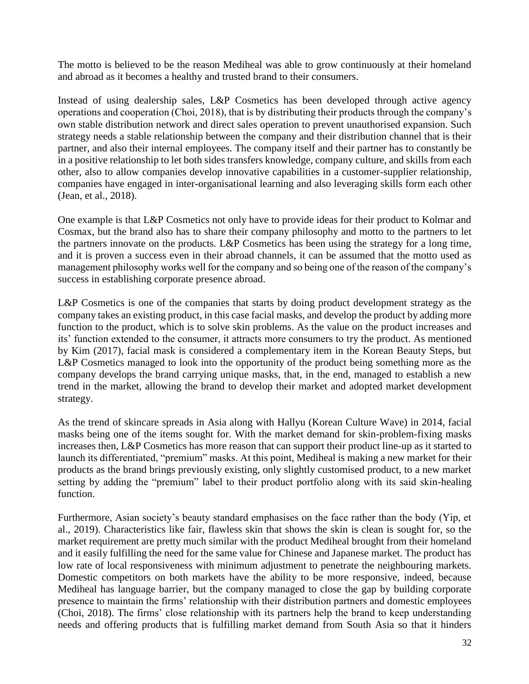The motto is believed to be the reason Mediheal was able to grow continuously at their homeland and abroad as it becomes a healthy and trusted brand to their consumers.

Instead of using dealership sales, L&P Cosmetics has been developed through active agency operations and cooperation (Choi, 2018), that is by distributing their products through the company's own stable distribution network and direct sales operation to prevent unauthorised expansion. Such strategy needs a stable relationship between the company and their distribution channel that is their partner, and also their internal employees. The company itself and their partner has to constantly be in a positive relationship to let both sides transfers knowledge, company culture, and skills from each other, also to allow companies develop innovative capabilities in a customer-supplier relationship, companies have engaged in inter-organisational learning and also leveraging skills form each other (Jean, et al., 2018).

One example is that L&P Cosmetics not only have to provide ideas for their product to Kolmar and Cosmax, but the brand also has to share their company philosophy and motto to the partners to let the partners innovate on the products. L&P Cosmetics has been using the strategy for a long time, and it is proven a success even in their abroad channels, it can be assumed that the motto used as management philosophy works well for the company and so being one of the reason of the company's success in establishing corporate presence abroad.

L&P Cosmetics is one of the companies that starts by doing product development strategy as the company takes an existing product, in this case facial masks, and develop the product by adding more function to the product, which is to solve skin problems. As the value on the product increases and its' function extended to the consumer, it attracts more consumers to try the product. As mentioned by Kim (2017), facial mask is considered a complementary item in the Korean Beauty Steps, but L&P Cosmetics managed to look into the opportunity of the product being something more as the company develops the brand carrying unique masks, that, in the end, managed to establish a new trend in the market, allowing the brand to develop their market and adopted market development strategy.

As the trend of skincare spreads in Asia along with Hallyu (Korean Culture Wave) in 2014, facial masks being one of the items sought for. With the market demand for skin-problem-fixing masks increases then, L&P Cosmetics has more reason that can support their product line-up as it started to launch its differentiated, "premium" masks. At this point, Mediheal is making a new market for their products as the brand brings previously existing, only slightly customised product, to a new market setting by adding the "premium" label to their product portfolio along with its said skin-healing function.

Furthermore, Asian society's beauty standard emphasises on the face rather than the body (Yip, et al., 2019). Characteristics like fair, flawless skin that shows the skin is clean is sought for, so the market requirement are pretty much similar with the product Mediheal brought from their homeland and it easily fulfilling the need for the same value for Chinese and Japanese market. The product has low rate of local responsiveness with minimum adjustment to penetrate the neighbouring markets. Domestic competitors on both markets have the ability to be more responsive, indeed, because Mediheal has language barrier, but the company managed to close the gap by building corporate presence to maintain the firms' relationship with their distribution partners and domestic employees (Choi, 2018). The firms' close relationship with its partners help the brand to keep understanding needs and offering products that is fulfilling market demand from South Asia so that it hinders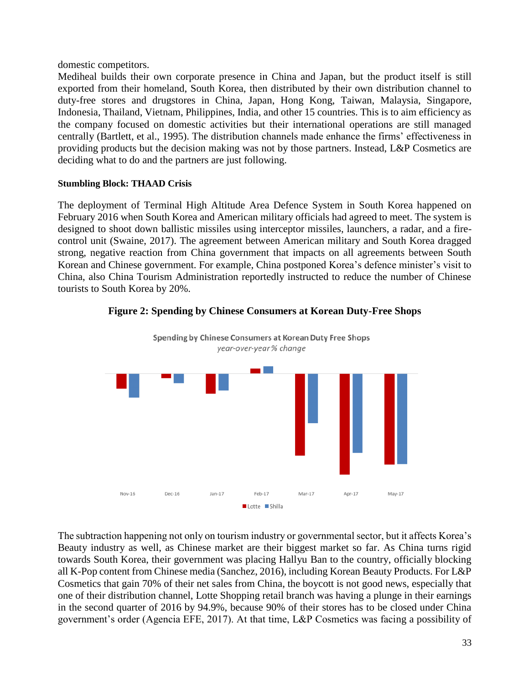domestic competitors.

Mediheal builds their own corporate presence in China and Japan, but the product itself is still exported from their homeland, South Korea, then distributed by their own distribution channel to duty-free stores and drugstores in China, Japan, Hong Kong, Taiwan, Malaysia, Singapore, Indonesia, Thailand, Vietnam, Philippines, India, and other 15 countries. This is to aim efficiency as the company focused on domestic activities but their international operations are still managed centrally (Bartlett, et al., 1995). The distribution channels made enhance the firms' effectiveness in providing products but the decision making was not by those partners. Instead, L&P Cosmetics are deciding what to do and the partners are just following.

## **Stumbling Block: THAAD Crisis**

The deployment of Terminal High Altitude Area Defence System in South Korea happened on February 2016 when South Korea and American military officials had agreed to meet. The system is designed to shoot down ballistic missiles using interceptor missiles, launchers, a radar, and a firecontrol unit (Swaine, 2017). The agreement between American military and South Korea dragged strong, negative reaction from China government that impacts on all agreements between South Korean and Chinese government. For example, China postponed Korea's defence minister's visit to China, also China Tourism Administration reportedly instructed to reduce the number of Chinese tourists to South Korea by 20%.



**Figure 2: Spending by Chinese Consumers at Korean Duty-Free Shops**

The subtraction happening not only on tourism industry or governmental sector, but it affects Korea's Beauty industry as well, as Chinese market are their biggest market so far. As China turns rigid towards South Korea, their government was placing Hallyu Ban to the country, officially blocking all K-Pop content from Chinese media (Sanchez, 2016), including Korean Beauty Products. For L&P Cosmetics that gain 70% of their net sales from China, the boycott is not good news, especially that one of their distribution channel, Lotte Shopping retail branch was having a plunge in their earnings in the second quarter of 2016 by 94.9%, because 90% of their stores has to be closed under China government's order (Agencia EFE, 2017). At that time, L&P Cosmetics was facing a possibility of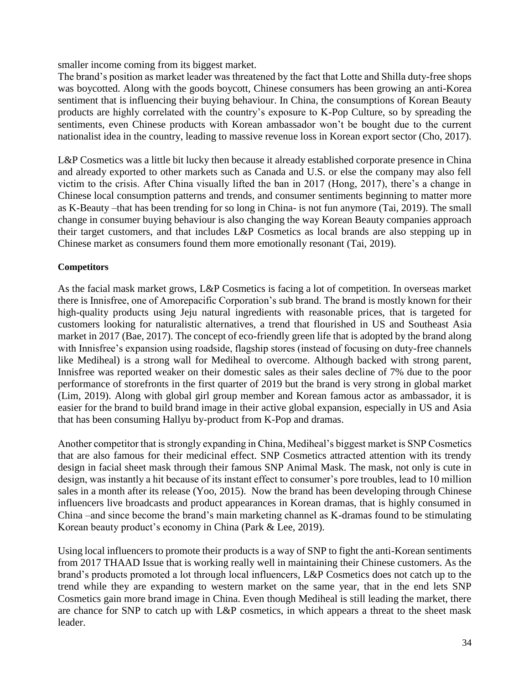smaller income coming from its biggest market.

The brand's position as market leader was threatened by the fact that Lotte and Shilla duty-free shops was boycotted. Along with the goods boycott, Chinese consumers has been growing an anti-Korea sentiment that is influencing their buying behaviour. In China, the consumptions of Korean Beauty products are highly correlated with the country's exposure to K-Pop Culture, so by spreading the sentiments, even Chinese products with Korean ambassador won't be bought due to the current nationalist idea in the country, leading to massive revenue loss in Korean export sector (Cho, 2017).

L&P Cosmetics was a little bit lucky then because it already established corporate presence in China and already exported to other markets such as Canada and U.S. or else the company may also fell victim to the crisis. After China visually lifted the ban in 2017 (Hong, 2017), there's a change in Chinese local consumption patterns and trends, and consumer sentiments beginning to matter more as K-Beauty –that has been trending for so long in China- is not fun anymore (Tai, 2019). The small change in consumer buying behaviour is also changing the way Korean Beauty companies approach their target customers, and that includes L&P Cosmetics as local brands are also stepping up in Chinese market as consumers found them more emotionally resonant (Tai, 2019).

## **Competitors**

As the facial mask market grows, L&P Cosmetics is facing a lot of competition. In overseas market there is Innisfree, one of Amorepacific Corporation's sub brand. The brand is mostly known for their high-quality products using Jeju natural ingredients with reasonable prices, that is targeted for customers looking for naturalistic alternatives, a trend that flourished in US and Southeast Asia market in 2017 (Bae, 2017). The concept of eco-friendly green life that is adopted by the brand along with Innisfree's expansion using roadside, flagship stores (instead of focusing on duty-free channels like Mediheal) is a strong wall for Mediheal to overcome. Although backed with strong parent, Innisfree was reported weaker on their domestic sales as their sales decline of 7% due to the poor performance of storefronts in the first quarter of 2019 but the brand is very strong in global market (Lim, 2019). Along with global girl group member and Korean famous actor as ambassador, it is easier for the brand to build brand image in their active global expansion, especially in US and Asia that has been consuming Hallyu by-product from K-Pop and dramas.

Another competitor that is strongly expanding in China, Mediheal's biggest market is SNP Cosmetics that are also famous for their medicinal effect. SNP Cosmetics attracted attention with its trendy design in facial sheet mask through their famous SNP Animal Mask. The mask, not only is cute in design, was instantly a hit because of its instant effect to consumer's pore troubles, lead to 10 million sales in a month after its release (Yoo, 2015). Now the brand has been developing through Chinese influencers live broadcasts and product appearances in Korean dramas, that is highly consumed in China –and since become the brand's main marketing channel as K-dramas found to be stimulating Korean beauty product's economy in China (Park & Lee, 2019).

Using local influencers to promote their products is a way of SNP to fight the anti-Korean sentiments from 2017 THAAD Issue that is working really well in maintaining their Chinese customers. As the brand's products promoted a lot through local influencers, L&P Cosmetics does not catch up to the trend while they are expanding to western market on the same year, that in the end lets SNP Cosmetics gain more brand image in China. Even though Mediheal is still leading the market, there are chance for SNP to catch up with L&P cosmetics, in which appears a threat to the sheet mask leader.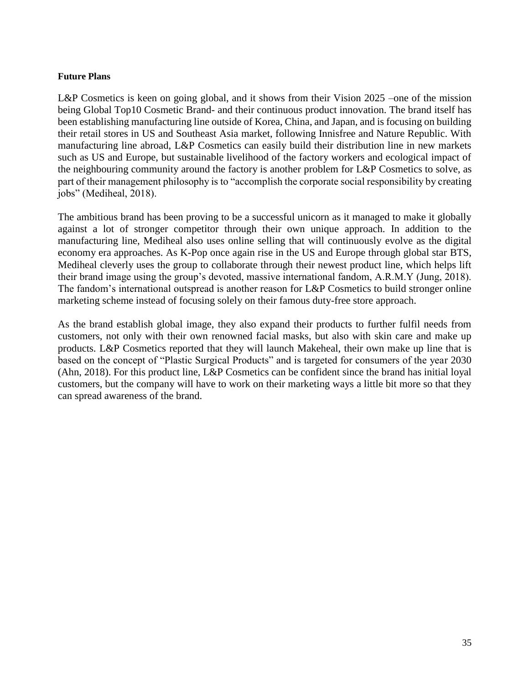#### **Future Plans**

L&P Cosmetics is keen on going global, and it shows from their Vision 2025 –one of the mission being Global Top10 Cosmetic Brand- and their continuous product innovation. The brand itself has been establishing manufacturing line outside of Korea, China, and Japan, and is focusing on building their retail stores in US and Southeast Asia market, following Innisfree and Nature Republic. With manufacturing line abroad, L&P Cosmetics can easily build their distribution line in new markets such as US and Europe, but sustainable livelihood of the factory workers and ecological impact of the neighbouring community around the factory is another problem for L&P Cosmetics to solve, as part of their management philosophy is to "accomplish the corporate social responsibility by creating jobs" (Mediheal, 2018).

The ambitious brand has been proving to be a successful unicorn as it managed to make it globally against a lot of stronger competitor through their own unique approach. In addition to the manufacturing line, Mediheal also uses online selling that will continuously evolve as the digital economy era approaches. As K-Pop once again rise in the US and Europe through global star BTS, Mediheal cleverly uses the group to collaborate through their newest product line, which helps lift their brand image using the group's devoted, massive international fandom, A.R.M.Y (Jung, 2018). The fandom's international outspread is another reason for L&P Cosmetics to build stronger online marketing scheme instead of focusing solely on their famous duty-free store approach.

As the brand establish global image, they also expand their products to further fulfil needs from customers, not only with their own renowned facial masks, but also with skin care and make up products. L&P Cosmetics reported that they will launch Makeheal, their own make up line that is based on the concept of "Plastic Surgical Products" and is targeted for consumers of the year 2030 (Ahn, 2018). For this product line, L&P Cosmetics can be confident since the brand has initial loyal customers, but the company will have to work on their marketing ways a little bit more so that they can spread awareness of the brand.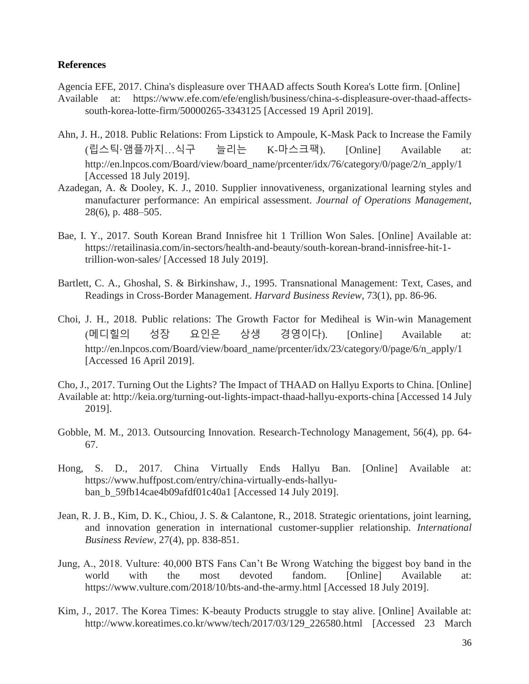## **References**

Agencia EFE, 2017. China's displeasure over THAAD affects South Korea's Lotte firm. [Online]

- Available at: https://www.efe.com/efe/english/business/china-s-displeasure-over-thaad-affectssouth-korea-lotte-firm/50000265-3343125 [Accessed 19 April 2019].
- Ahn, J. H., 2018. Public Relations: From Lipstick to Ampoule, K-Mask Pack to Increase the Family (립스틱·앰플까지…식구 늘리는 K-마스크팩). [Online] Available at: http://en.lnpcos.com/Board/view/board\_name/prcenter/idx/76/category/0/page/2/n\_apply/1 [Accessed 18 July 2019].
- Azadegan, A. & Dooley, K. J., 2010. Supplier innovativeness, organizational learning styles and manufacturer performance: An empirical assessment. *Journal of Operations Management*, 28(6), p. 488–505.
- Bae, I. Y., 2017. South Korean Brand Innisfree hit 1 Trillion Won Sales. [Online] Available at: https://retailinasia.com/in-sectors/health-and-beauty/south-korean-brand-innisfree-hit-1 trillion-won-sales/ [Accessed 18 July 2019].
- Bartlett, C. A., Ghoshal, S. & Birkinshaw, J., 1995. Transnational Management: Text, Cases, and Readings in Cross-Border Management. *Harvard Business Review*, 73(1), pp. 86-96.
- Choi, J. H., 2018. Public relations: The Growth Factor for Mediheal is Win-win Management (메디힐의 성장 요인은 상생 경영이다). [Online] Available at: http://en.lnpcos.com/Board/view/board\_name/prcenter/idx/23/category/0/page/6/n\_apply/1 [Accessed 16 April 2019].
- Cho, J., 2017. Turning Out the Lights? The Impact of THAAD on Hallyu Exports to China. [Online] Available at: http://keia.org/turning-out-lights-impact-thaad-hallyu-exports-china [Accessed 14 July 2019].
- Gobble, M. M., 2013. Outsourcing Innovation. Research-Technology Management, 56(4), pp. 64- 67.
- Hong, S. D., 2017. China Virtually Ends Hallyu Ban. [Online] Available at: https://www.huffpost.com/entry/china-virtually-ends-hallyuban\_b\_59fb14cae4b09afdf01c40a1 [Accessed 14 July 2019].
- Jean, R. J. B., Kim, D. K., Chiou, J. S. & Calantone, R., 2018. Strategic orientations, joint learning, and innovation generation in international customer-supplier relationship. *International Business Review*, 27(4), pp. 838-851.
- Jung, A., 2018. Vulture: 40,000 BTS Fans Can't Be Wrong Watching the biggest boy band in the world with the most devoted fandom. [Online] Available at: https://www.vulture.com/2018/10/bts-and-the-army.html [Accessed 18 July 2019].
- Kim, J., 2017. The Korea Times: K-beauty Products struggle to stay alive. [Online] Available at: http://www.koreatimes.co.kr/www/tech/2017/03/129\_226580.html [Accessed 23 March